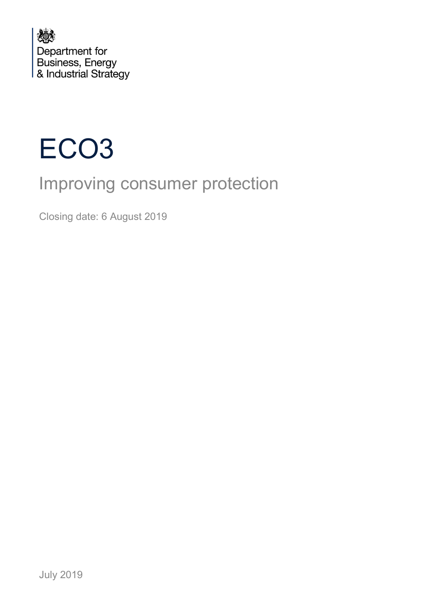



# Improving consumer protection

Closing date: 6 August 2019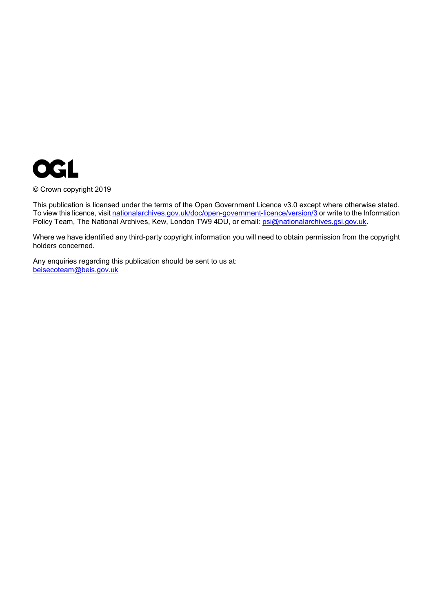

© Crown copyright 2019

This publication is licensed under the terms of the Open Government Licence v3.0 except where otherwise stated. To view this licence, visi[t nationalarchives.gov.uk/doc/open-government-licence/version/3](http://nationalarchives.gov.uk/doc/open-government-licence/version/3/) or write to the Information Policy Team, The National Archives, Kew, London TW9 4DU, or email: [psi@nationalarchives.gsi.gov.uk.](mailto:psi@nationalarchives.gsi.gov.uk)

Where we have identified any third-party copyright information you will need to obtain permission from the copyright holders concerned.

Any enquiries regarding this publication should be sent to us at: [beisecoteam@beis.gov.uk](mailto:beisecoteam@beis.gov.uk)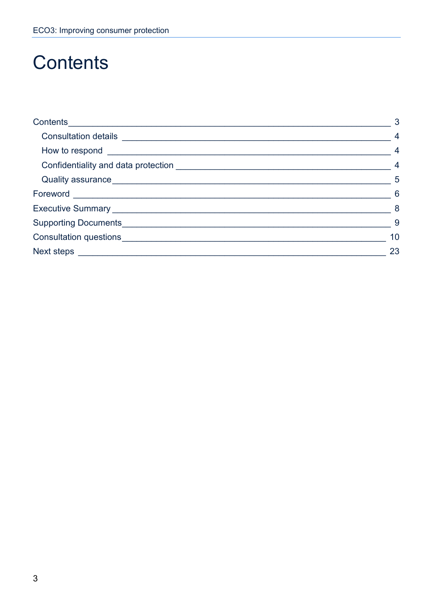# <span id="page-2-0"></span>**Contents**

|                                   | $\mathbf{3}$    |
|-----------------------------------|-----------------|
|                                   | $\overline{4}$  |
|                                   | $\overline{4}$  |
|                                   | $\overline{4}$  |
|                                   | $\overline{5}$  |
|                                   | $6\overline{6}$ |
|                                   | 8 <sup>8</sup>  |
| Supporting Documents_____________ | 9               |
|                                   | 10              |
|                                   | 23              |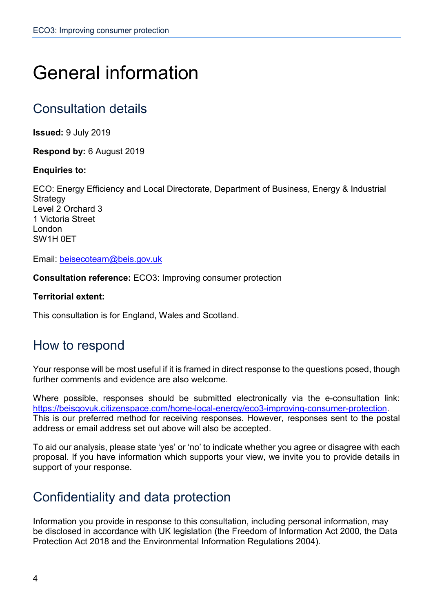# General information

## <span id="page-3-0"></span>Consultation details

**Issued:** 9 July 2019

**Respond by:** 6 August 2019

#### **Enquiries to:**

ECO: Energy Efficiency and Local Directorate, Department of Business, Energy & Industrial **Strategy** Level 2 Orchard 3 1 Victoria Street London SW1H 0ET

Email: [beisecoteam@beis.gov.uk](mailto:beisecoteam@beis.gov.uk)

**Consultation reference:** ECO3: Improving consumer protection

#### **Territorial extent:**

This consultation is for England, Wales and Scotland.

## <span id="page-3-1"></span>How to respond

Your response will be most useful if it is framed in direct response to the questions posed, though further comments and evidence are also welcome.

Where possible, responses should be submitted electronically via the e-consultation link: [https://beisgovuk.citizenspace.com/home-local-energy/eco3-improving-consumer-protection.](https://eur02.safelinks.protection.outlook.com/?url=https%3A%2F%2Fbeisgovuk.citizenspace.com%2Fhome-local-energy%2Feco3-improving-consumer-protection&data=02%7C01%7Cemi.morris%40beis.gov.uk%7Cb4a047be17934b5f867608d7012f66c1%7Ccbac700502c143ebb497e6492d1b2dd8%7C0%7C0%7C636979177138572488&sdata=GR1sgc0z7lMfF5iMuwoReZL6eRk0UIsdpyQ590C5lnU%3D&reserved=0) This is our preferred method for receiving responses. However, responses sent to the postal address or email address set out above will also be accepted.

To aid our analysis, please state 'yes' or 'no' to indicate whether you agree or disagree with each proposal. If you have information which supports your view, we invite you to provide details in support of your response.

## <span id="page-3-2"></span>Confidentiality and data protection

Information you provide in response to this consultation, including personal information, may be disclosed in accordance with UK legislation (the Freedom of Information Act 2000, the Data Protection Act 2018 and the Environmental Information Regulations 2004).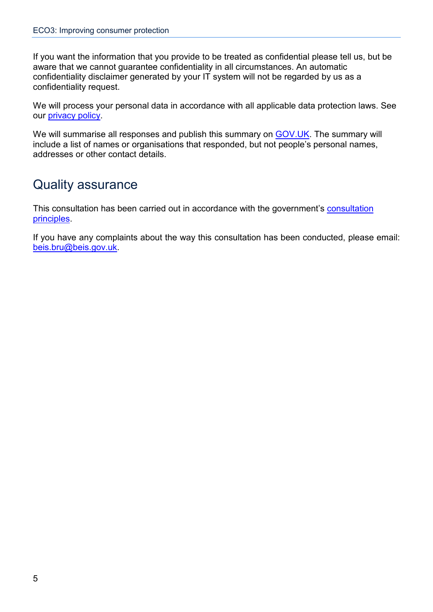If you want the information that you provide to be treated as confidential please tell us, but be aware that we cannot guarantee confidentiality in all circumstances. An automatic confidentiality disclaimer generated by your IT system will not be regarded by us as a confidentiality request.

We will process your personal data in accordance with all applicable data protection laws. See our [privacy policy.](https://www.gov.uk/government/organisations/department-for-business-energy-and-industrial-strategy/about/personal-information-charter)

We will summarise all responses and publish this summary on [GOV.UK.](https://www.gov.uk/government/publications?keywords=&publication_filter_option=closed-consultations&topics%5B%5D=all&departments%5B%5D=department-for-business-energy-and-industrial-strategy&official_document_status=all&world_locations%5B%5D=all&from_date=&to_date=) The summary will include a list of names or organisations that responded, but not people's personal names, addresses or other contact details.

## <span id="page-4-0"></span>Quality assurance

This consultation has been carried out in accordance with the government's [consultation](https://www.gov.uk/government/publications/consultation-principles-guidance)  [principles.](https://www.gov.uk/government/publications/consultation-principles-guidance)

<span id="page-4-1"></span>If you have any complaints about the way this consultation has been conducted, please email: [beis.bru@beis.gov.uk.](mailto:beis.bru@beis.gov.uk)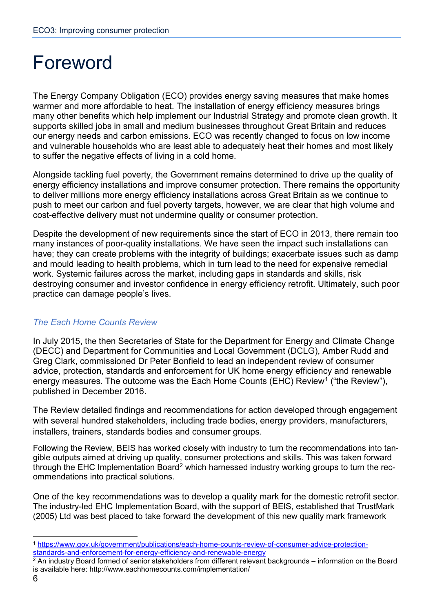# Foreword

The Energy Company Obligation (ECO) provides energy saving measures that make homes warmer and more affordable to heat. The installation of energy efficiency measures brings many other benefits which help implement our Industrial Strategy and promote clean growth. It supports skilled jobs in small and medium businesses throughout Great Britain and reduces our energy needs and carbon emissions. ECO was recently changed to focus on low income and vulnerable households who are least able to adequately heat their homes and most likely to suffer the negative effects of living in a cold home.

Alongside tackling fuel poverty, the Government remains determined to drive up the quality of energy efficiency installations and improve consumer protection. There remains the opportunity to deliver millions more energy efficiency installations across Great Britain as we continue to push to meet our carbon and fuel poverty targets, however, we are clear that high volume and cost-effective delivery must not undermine quality or consumer protection.

Despite the development of new requirements since the start of ECO in 2013, there remain too many instances of poor-quality installations. We have seen the impact such installations can have; they can create problems with the integrity of buildings; exacerbate issues such as damp and mould leading to health problems, which in turn lead to the need for expensive remedial work. Systemic failures across the market, including gaps in standards and skills, risk destroying consumer and investor confidence in energy efficiency retrofit. Ultimately, such poor practice can damage people's lives.

#### *The Each Home Counts Review*

In July 2015, the then Secretaries of State for the Department for Energy and Climate Change (DECC) and Department for Communities and Local Government (DCLG), Amber Rudd and Greg Clark, commissioned Dr Peter Bonfield to lead an independent review of consumer advice, protection, standards and enforcement for UK home energy efficiency and renewable energy measures. The outcome was the Each Home Counts (EHC) Review<sup>[1](#page-5-0)</sup> ("the Review"), published in December 2016.

The Review detailed findings and recommendations for action developed through engagement with several hundred stakeholders, including trade bodies, energy providers, manufacturers, installers, trainers, standards bodies and consumer groups.

Following the Review, BEIS has worked closely with industry to turn the recommendations into tangible outputs aimed at driving up quality, consumer protections and skills. This was taken forward through the EHC Implementation Board<sup>[2](#page-5-1)</sup> which harnessed industry working groups to turn the recommendations into practical solutions.

One of the key recommendations was to develop a quality mark for the domestic retrofit sector. The industry-led EHC Implementation Board, with the support of BEIS, established that TrustMark (2005) Ltd was best placed to take forward the development of this new quality mark framework

<span id="page-5-0"></span> <sup>1</sup> [https://www.gov.uk/government/publications/each-home-counts-review-of-consumer-advice-protection](https://www.gov.uk/government/publications/each-home-counts-review-of-consumer-advice-protection-standards-and-enforcement-for-energy-efficiency-and-renewable-energy)[standards-and-enforcement-for-energy-efficiency-and-renewable-energy](https://www.gov.uk/government/publications/each-home-counts-review-of-consumer-advice-protection-standards-and-enforcement-for-energy-efficiency-and-renewable-energy)

<span id="page-5-1"></span><sup>2</sup> An industry Board formed of senior stakeholders from different relevant backgrounds – information on the Board is available here: http://www.eachhomecounts.com/implementation/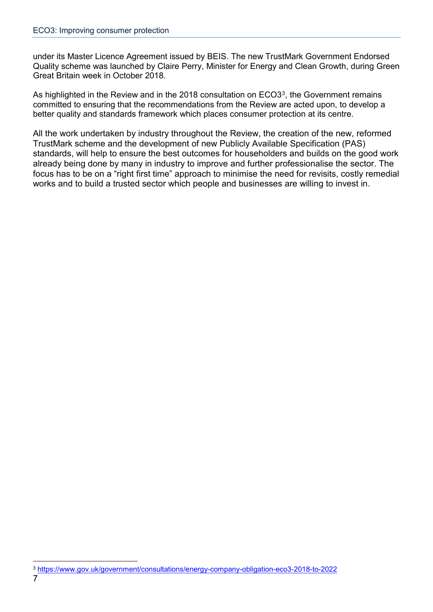under its Master Licence Agreement issued by BEIS. The new TrustMark Government Endorsed Quality scheme was launched by Claire Perry, Minister for Energy and Clean Growth, during Green Great Britain week in October 2018.

As highlighted in the Review and in the 2018 consultation on ECO[3](#page-6-1)<sup>3</sup>, the Government remains committed to ensuring that the recommendations from the Review are acted upon, to develop a better quality and standards framework which places consumer protection at its centre.

<span id="page-6-0"></span>All the work undertaken by industry throughout the Review, the creation of the new, reformed TrustMark scheme and the development of new Publicly Available Specification (PAS) standards, will help to ensure the best outcomes for householders and builds on the good work already being done by many in industry to improve and further professionalise the sector. The focus has to be on a "right first time" approach to minimise the need for revisits, costly remedial works and to build a trusted sector which people and businesses are willing to invest in.

<span id="page-6-1"></span> <sup>3</sup> <https://www.gov.uk/government/consultations/energy-company-obligation-eco3-2018-to-2022>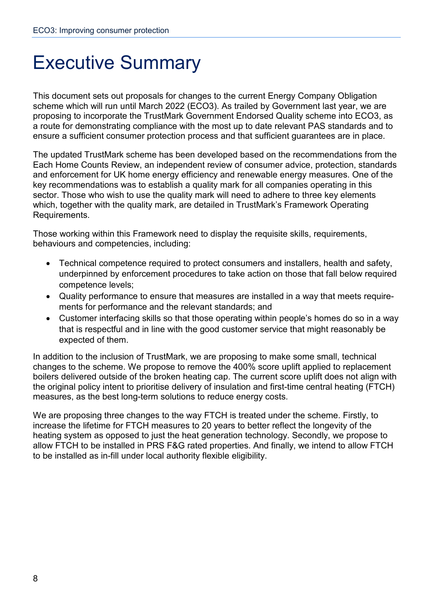# Executive Summary

This document sets out proposals for changes to the current Energy Company Obligation scheme which will run until March 2022 (ECO3). As trailed by Government last year, we are proposing to incorporate the TrustMark Government Endorsed Quality scheme into ECO3, as a route for demonstrating compliance with the most up to date relevant PAS standards and to ensure a sufficient consumer protection process and that sufficient guarantees are in place.

The updated TrustMark scheme has been developed based on the recommendations from the Each Home Counts Review, an independent review of consumer advice, protection, standards and enforcement for UK home energy efficiency and renewable energy measures. One of the key recommendations was to establish a quality mark for all companies operating in this sector. Those who wish to use the quality mark will need to adhere to three key elements which, together with the quality mark, are detailed in TrustMark's Framework Operating Requirements.

Those working within this Framework need to display the requisite skills, requirements, behaviours and competencies, including:

- Technical competence required to protect consumers and installers, health and safety, underpinned by enforcement procedures to take action on those that fall below required competence levels;
- Quality performance to ensure that measures are installed in a way that meets requirements for performance and the relevant standards; and
- Customer interfacing skills so that those operating within people's homes do so in a way that is respectful and in line with the good customer service that might reasonably be expected of them.

In addition to the inclusion of TrustMark, we are proposing to make some small, technical changes to the scheme. We propose to remove the 400% score uplift applied to replacement boilers delivered outside of the broken heating cap. The current score uplift does not align with the original policy intent to prioritise delivery of insulation and first-time central heating (FTCH) measures, as the best long-term solutions to reduce energy costs.

<span id="page-7-0"></span>We are proposing three changes to the way FTCH is treated under the scheme. Firstly, to increase the lifetime for FTCH measures to 20 years to better reflect the longevity of the heating system as opposed to just the heat generation technology. Secondly, we propose to allow FTCH to be installed in PRS F&G rated properties. And finally, we intend to allow FTCH to be installed as in-fill under local authority flexible eligibility.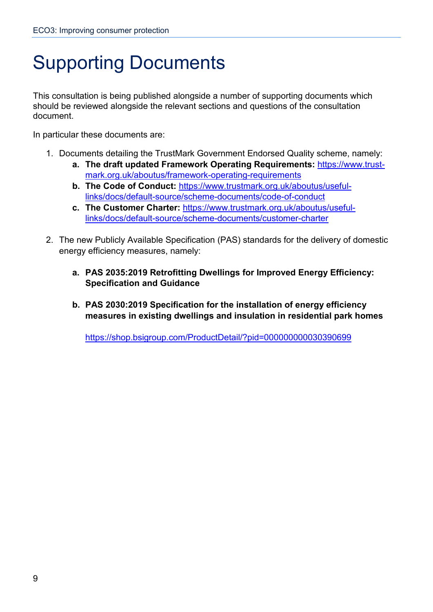# Supporting Documents

This consultation is being published alongside a number of supporting documents which should be reviewed alongside the relevant sections and questions of the consultation document.

In particular these documents are:

- 1. Documents detailing the TrustMark Government Endorsed Quality scheme, namely:
	- **a. The draft updated Framework Operating Requirements:** [https://www.trust](https://www.trustmark.org.uk/aboutus/framework-operating-requirements)[mark.org.uk/aboutus/framework-operating-requirements](https://www.trustmark.org.uk/aboutus/framework-operating-requirements)
	- **b. The Code of Conduct:** [https://www.trustmark.org.uk/aboutus/useful](https://www.trustmark.org.uk/aboutus/useful-links/docs/default-source/scheme-documents/code-of-conduct)[links/docs/default-source/scheme-documents/code-of-conduct](https://www.trustmark.org.uk/aboutus/useful-links/docs/default-source/scheme-documents/code-of-conduct)
	- **c. The Customer Charter:** [https://www.trustmark.org.uk/aboutus/useful](https://www.trustmark.org.uk/aboutus/useful-links/docs/default-source/scheme-documents/customer-charter)[links/docs/default-source/scheme-documents/customer-charter](https://www.trustmark.org.uk/aboutus/useful-links/docs/default-source/scheme-documents/customer-charter)
- 2. The new Publicly Available Specification (PAS) standards for the delivery of domestic energy efficiency measures, namely:
	- **a. PAS 2035:2019 Retrofitting Dwellings for Improved Energy Efficiency: Specification and Guidance**
	- **b. PAS 2030:2019 Specification for the installation of energy efficiency measures in existing dwellings and insulation in residential park homes**

<https://shop.bsigroup.com/ProductDetail/?pid=000000000030390699>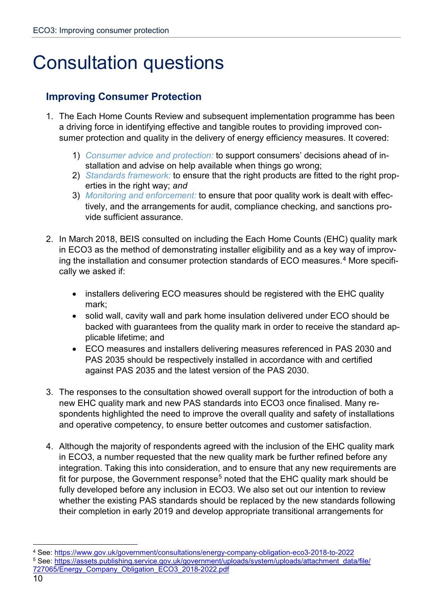# <span id="page-9-0"></span>Consultation questions

### **Improving Consumer Protection**

- 1. The Each Home Counts Review and subsequent implementation programme has been a driving force in identifying effective and tangible routes to providing improved consumer protection and quality in the delivery of energy efficiency measures. It covered:
	- 1) *Consumer advice and protection:* to support consumers' decisions ahead of installation and advise on help available when things go wrong;
	- 2) *Standards framework:* to ensure that the right products are fitted to the right properties in the right way; *and*
	- 3) *Monitoring and enforcement:* to ensure that poor quality work is dealt with effectively, and the arrangements for audit, compliance checking, and sanctions provide sufficient assurance.
- 2. In March 2018, BEIS consulted on including the Each Home Counts (EHC) quality mark in ECO3 as the method of demonstrating installer eligibility and as a key way of improv-ing the installation and consumer protection standards of ECO measures.<sup>[4](#page-9-1)</sup> More specifically we asked if:
	- installers delivering ECO measures should be registered with the EHC quality mark;
	- solid wall, cavity wall and park home insulation delivered under ECO should be backed with guarantees from the quality mark in order to receive the standard applicable lifetime; and
	- ECO measures and installers delivering measures referenced in PAS 2030 and PAS 2035 should be respectively installed in accordance with and certified against PAS 2035 and the latest version of the PAS 2030.
- 3. The responses to the consultation showed overall support for the introduction of both a new EHC quality mark and new PAS standards into ECO3 once finalised. Many respondents highlighted the need to improve the overall quality and safety of installations and operative competency, to ensure better outcomes and customer satisfaction.
- 4. Although the majority of respondents agreed with the inclusion of the EHC quality mark in ECO3, a number requested that the new quality mark be further refined before any integration. Taking this into consideration, and to ensure that any new requirements are fit for purpose, the Government response<sup>[5](#page-9-2)</sup> noted that the EHC quality mark should be fully developed before any inclusion in ECO3. We also set out our intention to review whether the existing PAS standards should be replaced by the new standards following their completion in early 2019 and develop appropriate transitional arrangements for

<span id="page-9-1"></span> <sup>4</sup> See:<https://www.gov.uk/government/consultations/energy-company-obligation-eco3-2018-to-2022>

<span id="page-9-2"></span><sup>5</sup> See: [https://assets.publishing.service.gov.uk/government/uploads/system/uploads/attachment\\_data/file/](https://assets.publishing.service.gov.uk/government/uploads/system/uploads/attachment_data/file/727065/Energy_Company_Obligation_ECO3_2018-2022.pdf) [727065/Energy\\_Company\\_Obligation\\_ECO3\\_2018-2022.pdf](https://assets.publishing.service.gov.uk/government/uploads/system/uploads/attachment_data/file/727065/Energy_Company_Obligation_ECO3_2018-2022.pdf)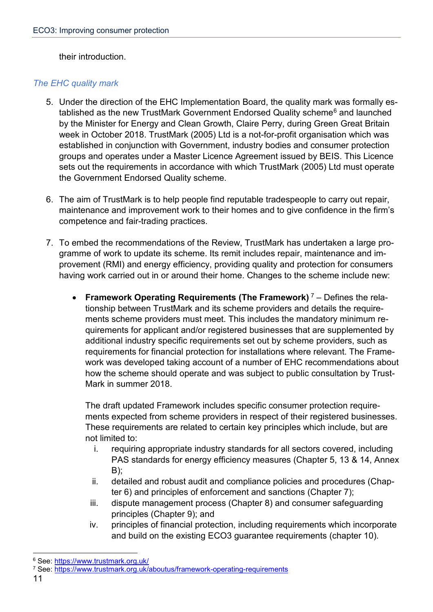their introduction.

#### *The EHC quality mark*

- 5. Under the direction of the EHC Implementation Board, the quality mark was formally es-tablished as the new TrustMark Government Endorsed Quality scheme<sup>[6](#page-10-0)</sup> and launched by the Minister for Energy and Clean Growth, Claire Perry, during Green Great Britain week in October 2018. TrustMark (2005) Ltd is a not-for-profit organisation which was established in conjunction with Government, industry bodies and consumer protection groups and operates under a Master Licence Agreement issued by BEIS. This Licence sets out the requirements in accordance with which TrustMark (2005) Ltd must operate the Government Endorsed Quality scheme.
- 6. The aim of TrustMark is to help people find reputable tradespeople to carry out repair, maintenance and improvement work to their homes and to give confidence in the firm's competence and fair-trading practices.
- 7. To embed the recommendations of the Review, TrustMark has undertaken a large programme of work to update its scheme. Its remit includes repair, maintenance and improvement (RMI) and energy efficiency, providing quality and protection for consumers having work carried out in or around their home. Changes to the scheme include new:
	- **Framework Operating Requirements (The Framework)** [7](#page-10-1) Defines the relationship between TrustMark and its scheme providers and details the requirements scheme providers must meet. This includes the mandatory minimum requirements for applicant and/or registered businesses that are supplemented by additional industry specific requirements set out by scheme providers, such as requirements for financial protection for installations where relevant. The Framework was developed taking account of a number of EHC recommendations about how the scheme should operate and was subject to public consultation by Trust-Mark in summer 2018.

The draft updated Framework includes specific consumer protection requirements expected from scheme providers in respect of their registered businesses. These requirements are related to certain key principles which include, but are not limited to:

- i. requiring appropriate industry standards for all sectors covered, including PAS standards for energy efficiency measures (Chapter 5, 13 & 14, Annex B);
- ii. detailed and robust audit and compliance policies and procedures (Chapter 6) and principles of enforcement and sanctions (Chapter 7);
- iii. dispute management process (Chapter 8) and consumer safeguarding principles (Chapter 9); and
- iv. principles of financial protection, including requirements which incorporate and build on the existing ECO3 guarantee requirements (chapter 10).

<span id="page-10-0"></span> <sup>6</sup> See:<https://www.trustmark.org.uk/>

<span id="page-10-1"></span><sup>7</sup> See:<https://www.trustmark.org.uk/aboutus/framework-operating-requirements>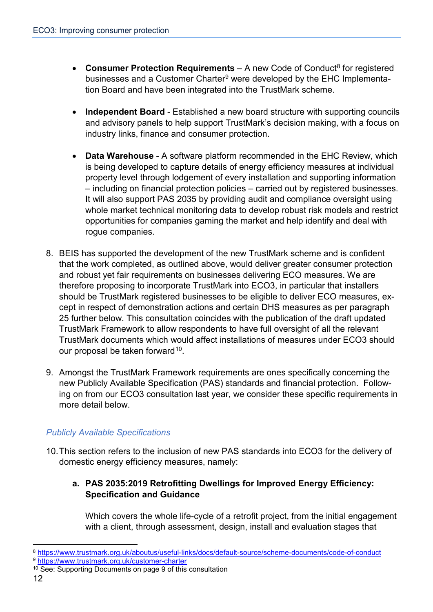- **Consumer Protection Requirements** A new Code of Conduct<sup>8</sup> for registered businesses and a Customer Charter<sup>[9](#page-11-1)</sup> were developed by the EHC Implementation Board and have been integrated into the TrustMark scheme.
- **Independent Board** Established a new board structure with supporting councils and advisory panels to help support TrustMark's decision making, with a focus on industry links, finance and consumer protection.
- **Data Warehouse** A software platform recommended in the EHC Review, which is being developed to capture details of energy efficiency measures at individual property level through lodgement of every installation and supporting information – including on financial protection policies – carried out by registered businesses. It will also support PAS 2035 by providing audit and compliance oversight using whole market technical monitoring data to develop robust risk models and restrict opportunities for companies gaming the market and help identify and deal with rogue companies.
- 8. BEIS has supported the development of the new TrustMark scheme and is confident that the work completed, as outlined above, would deliver greater consumer protection and robust yet fair requirements on businesses delivering ECO measures. We are therefore proposing to incorporate TrustMark into ECO3, in particular that installers should be TrustMark registered businesses to be eligible to deliver ECO measures, except in respect of demonstration actions and certain DHS measures as per paragraph 25 further below. This consultation coincides with the publication of the draft updated TrustMark Framework to allow respondents to have full oversight of all the relevant TrustMark documents which would affect installations of measures under ECO3 should our proposal be taken forward<sup>[10](#page-11-2)</sup>.
- 9. Amongst the TrustMark Framework requirements are ones specifically concerning the new Publicly Available Specification (PAS) standards and financial protection. Following on from our ECO3 consultation last year, we consider these specific requirements in more detail below.

#### *Publicly Available Specifications*

10.This section refers to the inclusion of new PAS standards into ECO3 for the delivery of domestic energy efficiency measures, namely:

#### **a. PAS 2035:2019 Retrofitting Dwellings for Improved Energy Efficiency: Specification and Guidance**

Which covers the whole life-cycle of a retrofit project, from the initial engagement with a client, through assessment, design, install and evaluation stages that

<span id="page-11-0"></span> <sup>8</sup> <https://www.trustmark.org.uk/aboutus/useful-links/docs/default-source/scheme-documents/code-of-conduct> <sup>9</sup> <https://www.trustmark.org.uk/customer-charter>

<span id="page-11-2"></span><span id="page-11-1"></span><sup>10</sup> See: Supporting Documents on page 9 of this consultation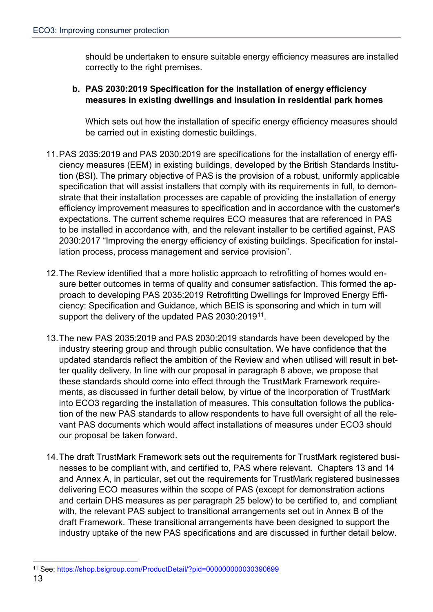should be undertaken to ensure suitable energy efficiency measures are installed correctly to the right premises.

#### **b. PAS 2030:2019 Specification for the installation of energy efficiency measures in existing dwellings and insulation in residential park homes**

Which sets out how the installation of specific energy efficiency measures should be carried out in existing domestic buildings.

- 11.PAS 2035:2019 and PAS 2030:2019 are specifications for the installation of energy efficiency measures (EEM) in existing buildings, developed by the British Standards Institution (BSI). The primary objective of PAS is the provision of a robust, uniformly applicable specification that will assist installers that comply with its requirements in full, to demonstrate that their installation processes are capable of providing the installation of energy efficiency improvement measures to specification and in accordance with the customer's expectations. The current scheme requires ECO measures that are referenced in PAS to be installed in accordance with, and the relevant installer to be certified against, PAS 2030:2017 "Improving the energy efficiency of existing buildings. Specification for installation process, process management and service provision".
- 12.The Review identified that a more holistic approach to retrofitting of homes would ensure better outcomes in terms of quality and consumer satisfaction. This formed the approach to developing PAS 2035:2019 Retrofitting Dwellings for Improved Energy Efficiency: Specification and Guidance, which BEIS is sponsoring and which in turn will support the delivery of the updated PAS 2030:2019<sup>[11](#page-12-0)</sup>.
- 13.The new PAS 2035:2019 and PAS 2030:2019 standards have been developed by the industry steering group and through public consultation. We have confidence that the updated standards reflect the ambition of the Review and when utilised will result in better quality delivery. In line with our proposal in paragraph 8 above, we propose that these standards should come into effect through the TrustMark Framework requirements, as discussed in further detail below, by virtue of the incorporation of TrustMark into ECO3 regarding the installation of measures. This consultation follows the publication of the new PAS standards to allow respondents to have full oversight of all the relevant PAS documents which would affect installations of measures under ECO3 should our proposal be taken forward.
- 14.The draft TrustMark Framework sets out the requirements for TrustMark registered businesses to be compliant with, and certified to, PAS where relevant. Chapters 13 and 14 and Annex A, in particular, set out the requirements for TrustMark registered businesses delivering ECO measures within the scope of PAS (except for demonstration actions and certain DHS measures as per paragraph 25 below) to be certified to, and compliant with, the relevant PAS subject to transitional arrangements set out in Annex B of the draft Framework. These transitional arrangements have been designed to support the industry uptake of the new PAS specifications and are discussed in further detail below.

<span id="page-12-0"></span> <sup>11</sup> See:<https://shop.bsigroup.com/ProductDetail/?pid=000000000030390699>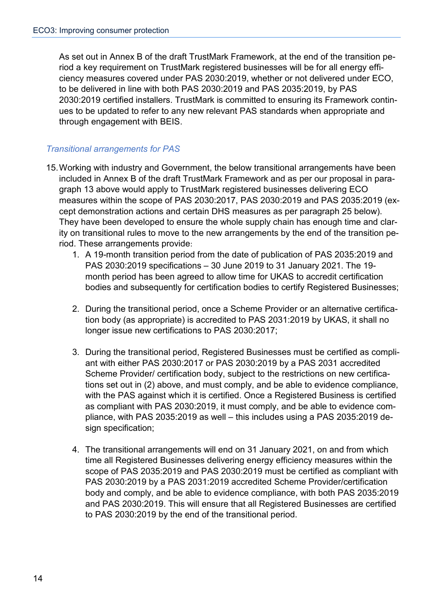As set out in Annex B of the draft TrustMark Framework, at the end of the transition period a key requirement on TrustMark registered businesses will be for all energy efficiency measures covered under PAS 2030:2019, whether or not delivered under ECO, to be delivered in line with both PAS 2030:2019 and PAS 2035:2019, by PAS 2030:2019 certified installers. TrustMark is committed to ensuring its Framework continues to be updated to refer to any new relevant PAS standards when appropriate and through engagement with BEIS.

#### *Transitional arrangements for PAS*

- 15.Working with industry and Government, the below transitional arrangements have been included in Annex B of the draft TrustMark Framework and as per our proposal in paragraph 13 above would apply to TrustMark registered businesses delivering ECO measures within the scope of PAS 2030:2017, PAS 2030:2019 and PAS 2035:2019 (except demonstration actions and certain DHS measures as per paragraph 25 below). They have been developed to ensure the whole supply chain has enough time and clarity on transitional rules to move to the new arrangements by the end of the transition period. These arrangements provide:
	- 1. A 19-month transition period from the date of publication of PAS 2035:2019 and PAS 2030:2019 specifications – 30 June 2019 to 31 January 2021. The 19 month period has been agreed to allow time for UKAS to accredit certification bodies and subsequently for certification bodies to certify Registered Businesses;
	- 2. During the transitional period, once a Scheme Provider or an alternative certification body (as appropriate) is accredited to PAS 2031:2019 by UKAS, it shall no longer issue new certifications to PAS 2030:2017;
	- 3. During the transitional period, Registered Businesses must be certified as compliant with either PAS 2030:2017 or PAS 2030:2019 by a PAS 2031 accredited Scheme Provider/ certification body, subject to the restrictions on new certifications set out in (2) above, and must comply, and be able to evidence compliance, with the PAS against which it is certified. Once a Registered Business is certified as compliant with PAS 2030:2019, it must comply, and be able to evidence compliance, with PAS 2035:2019 as well – this includes using a PAS 2035:2019 design specification;
	- 4. The transitional arrangements will end on 31 January 2021, on and from which time all Registered Businesses delivering energy efficiency measures within the scope of PAS 2035:2019 and PAS 2030:2019 must be certified as compliant with PAS 2030:2019 by a PAS 2031:2019 accredited Scheme Provider/certification body and comply, and be able to evidence compliance, with both PAS 2035:2019 and PAS 2030:2019. This will ensure that all Registered Businesses are certified to PAS 2030:2019 by the end of the transitional period.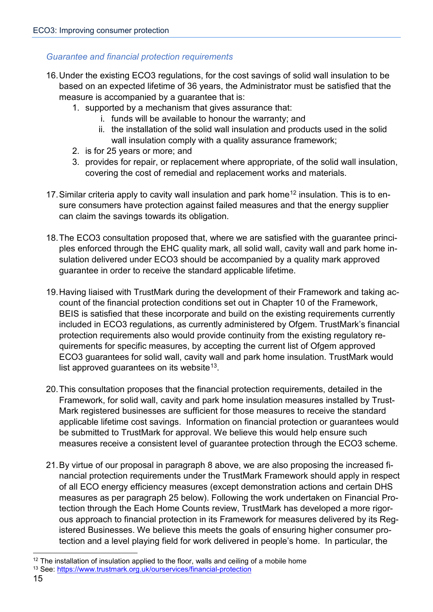#### *Guarantee and financial protection requirements*

- 16.Under the existing ECO3 regulations, for the cost savings of solid wall insulation to be based on an expected lifetime of 36 years, the Administrator must be satisfied that the measure is accompanied by a guarantee that is:
	- 1. supported by a mechanism that gives assurance that:
		- i. funds will be available to honour the warranty; and
		- ii. the installation of the solid wall insulation and products used in the solid wall insulation comply with a quality assurance framework;
	- 2. is for 25 years or more; and
	- 3. provides for repair, or replacement where appropriate, of the solid wall insulation, covering the cost of remedial and replacement works and materials.
- 17. Similar criteria apply to cavity wall insulation and park home<sup>[12](#page-14-0)</sup> insulation. This is to ensure consumers have protection against failed measures and that the energy supplier can claim the savings towards its obligation.
- 18.The ECO3 consultation proposed that, where we are satisfied with the guarantee principles enforced through the EHC quality mark, all solid wall, cavity wall and park home insulation delivered under ECO3 should be accompanied by a quality mark approved guarantee in order to receive the standard applicable lifetime.
- 19.Having liaised with TrustMark during the development of their Framework and taking account of the financial protection conditions set out in Chapter 10 of the Framework, BEIS is satisfied that these incorporate and build on the existing requirements currently included in ECO3 regulations, as currently administered by Ofgem. TrustMark's financial protection requirements also would provide continuity from the existing regulatory requirements for specific measures, by accepting the current list of Ofgem approved ECO3 guarantees for solid wall, cavity wall and park home insulation. TrustMark would list approved guarantees on its website<sup>[13](#page-14-1)</sup>.
- 20.This consultation proposes that the financial protection requirements, detailed in the Framework, for solid wall, cavity and park home insulation measures installed by Trust-Mark registered businesses are sufficient for those measures to receive the standard applicable lifetime cost savings. Information on financial protection or guarantees would be submitted to TrustMark for approval. We believe this would help ensure such measures receive a consistent level of guarantee protection through the ECO3 scheme.
- 21.By virtue of our proposal in paragraph 8 above, we are also proposing the increased financial protection requirements under the TrustMark Framework should apply in respect of all ECO energy efficiency measures (except demonstration actions and certain DHS measures as per paragraph 25 below). Following the work undertaken on Financial Protection through the Each Home Counts review, TrustMark has developed a more rigorous approach to financial protection in its Framework for measures delivered by its Registered Businesses. We believe this meets the goals of ensuring higher consumer protection and a level playing field for work delivered in people's home. In particular, the

<span id="page-14-0"></span> $12$  The installation of insulation applied to the floor, walls and ceiling of a mobile home

<span id="page-14-1"></span><sup>13</sup> See:<https://www.trustmark.org.uk/ourservices/financial-protection>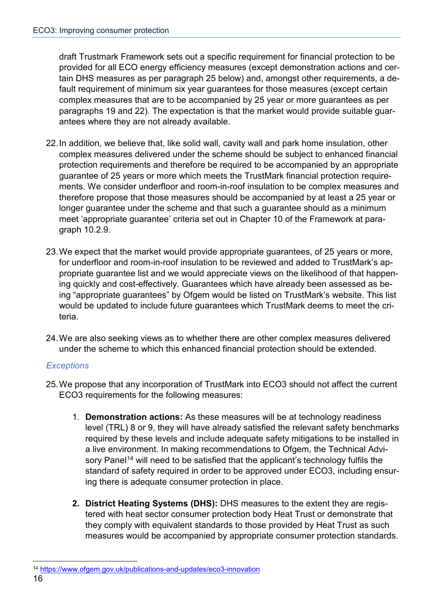draft Trustmark Framework sets out a specific requirement for financial protection to be provided for all ECO energy efficiency measures (except demonstration actions and certain DHS measures as per paragraph 25 below) and, amongst other requirements, a default requirement of minimum six year guarantees for those measures (except certain complex measures that are to be accompanied by 25 year or more guarantees as per paragraphs 19 and 22). The expectation is that the market would provide suitable guarantees where they are not already available.

- 22.In addition, we believe that, like solid wall, cavity wall and park home insulation, other complex measures delivered under the scheme should be subject to enhanced financial protection requirements and therefore be required to be accompanied by an appropriate guarantee of 25 years or more which meets the TrustMark financial protection requirements. We consider underfloor and room-in-roof insulation to be complex measures and therefore propose that those measures should be accompanied by at least a 25 year or longer guarantee under the scheme and that such a guarantee should as a minimum meet 'appropriate guarantee' criteria set out in Chapter 10 of the Framework at paragraph 10.2.9.
- 23.We expect that the market would provide appropriate guarantees, of 25 years or more, for underfloor and room-in-roof insulation to be reviewed and added to TrustMark's appropriate guarantee list and we would appreciate views on the likelihood of that happening quickly and cost-effectively. Guarantees which have already been assessed as being "appropriate guarantees" by Ofgem would be listed on TrustMark's website. This list would be updated to include future guarantees which TrustMark deems to meet the criteria.
- 24.We are also seeking views as to whether there are other complex measures delivered under the scheme to which this enhanced financial protection should be extended.

#### *Exceptions*

- 25.We propose that any incorporation of TrustMark into ECO3 should not affect the current ECO3 requirements for the following measures:
	- 1. **Demonstration actions:** As these measures will be at technology readiness level (TRL) 8 or 9, they will have already satisfied the relevant safety benchmarks required by these levels and include adequate safety mitigations to be installed in a live environment. In making recommendations to Ofgem, the Technical Advi-sory Panel<sup>[14](#page-15-0)</sup> will need to be satisfied that the applicant's technology fulfils the standard of safety required in order to be approved under ECO3, including ensuring there is adequate consumer protection in place.
	- **2. District Heating Systems (DHS):** DHS measures to the extent they are registered with heat sector consumer protection body Heat Trust or demonstrate that they comply with equivalent standards to those provided by Heat Trust as such measures would be accompanied by appropriate consumer protection standards.

<span id="page-15-0"></span> <sup>14</sup> <https://www.ofgem.gov.uk/publications-and-updates/eco3-innovation>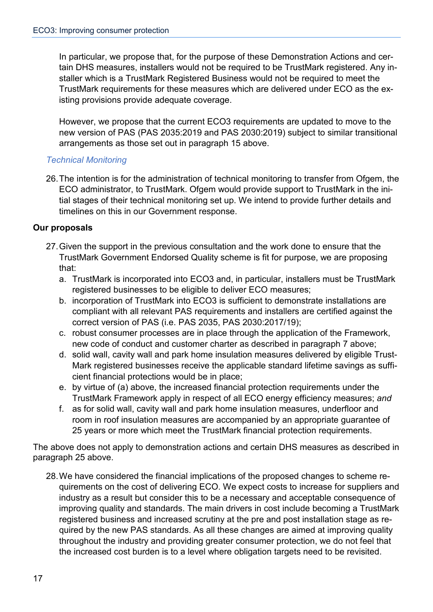In particular, we propose that, for the purpose of these Demonstration Actions and certain DHS measures, installers would not be required to be TrustMark registered. Any installer which is a TrustMark Registered Business would not be required to meet the TrustMark requirements for these measures which are delivered under ECO as the existing provisions provide adequate coverage.

However, we propose that the current ECO3 requirements are updated to move to the new version of PAS (PAS 2035:2019 and PAS 2030:2019) subject to similar transitional arrangements as those set out in paragraph 15 above.

#### *Technical Monitoring*

26.The intention is for the administration of technical monitoring to transfer from Ofgem, the ECO administrator, to TrustMark. Ofgem would provide support to TrustMark in the initial stages of their technical monitoring set up. We intend to provide further details and timelines on this in our Government response.

#### **Our proposals**

- 27.Given the support in the previous consultation and the work done to ensure that the TrustMark Government Endorsed Quality scheme is fit for purpose, we are proposing that:
	- a. TrustMark is incorporated into ECO3 and, in particular, installers must be TrustMark registered businesses to be eligible to deliver ECO measures;
	- b. incorporation of TrustMark into ECO3 is sufficient to demonstrate installations are compliant with all relevant PAS requirements and installers are certified against the correct version of PAS (i.e. PAS 2035, PAS 2030:2017/19);
	- c. robust consumer processes are in place through the application of the Framework, new code of conduct and customer charter as described in paragraph 7 above;
	- d. solid wall, cavity wall and park home insulation measures delivered by eligible Trust-Mark registered businesses receive the applicable standard lifetime savings as sufficient financial protections would be in place;
	- e. by virtue of (a) above, the increased financial protection requirements under the TrustMark Framework apply in respect of all ECO energy efficiency measures; *and*
	- f. as for solid wall, cavity wall and park home insulation measures, underfloor and room in roof insulation measures are accompanied by an appropriate guarantee of 25 years or more which meet the TrustMark financial protection requirements.

The above does not apply to demonstration actions and certain DHS measures as described in paragraph 25 above.

28.We have considered the financial implications of the proposed changes to scheme requirements on the cost of delivering ECO. We expect costs to increase for suppliers and industry as a result but consider this to be a necessary and acceptable consequence of improving quality and standards. The main drivers in cost include becoming a TrustMark registered business and increased scrutiny at the pre and post installation stage as required by the new PAS standards. As all these changes are aimed at improving quality throughout the industry and providing greater consumer protection, we do not feel that the increased cost burden is to a level where obligation targets need to be revisited.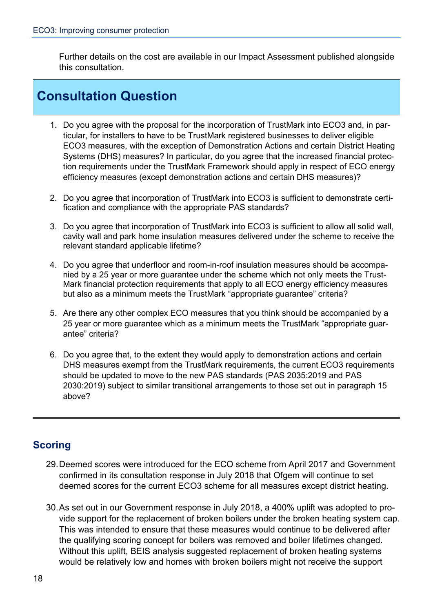Further details on the cost are available in our Impact Assessment published alongside this consultation.

## **Consultation Question**

- 1. Do you agree with the proposal for the incorporation of TrustMark into ECO3 and, in particular, for installers to have to be TrustMark registered businesses to deliver eligible ECO3 measures, with the exception of Demonstration Actions and certain District Heating Systems (DHS) measures? In particular, do you agree that the increased financial protection requirements under the TrustMark Framework should apply in respect of ECO energy efficiency measures (except demonstration actions and certain DHS measures)?
- 2. Do you agree that incorporation of TrustMark into ECO3 is sufficient to demonstrate certification and compliance with the appropriate PAS standards?
- 3. Do you agree that incorporation of TrustMark into ECO3 is sufficient to allow all solid wall, cavity wall and park home insulation measures delivered under the scheme to receive the relevant standard applicable lifetime?
- 4. Do you agree that underfloor and room-in-roof insulation measures should be accompanied by a 25 year or more guarantee under the scheme which not only meets the Trust-Mark financial protection requirements that apply to all ECO energy efficiency measures but also as a minimum meets the TrustMark "appropriate guarantee" criteria?
- 5. Are there any other complex ECO measures that you think should be accompanied by a 25 year or more guarantee which as a minimum meets the TrustMark "appropriate guarantee" criteria?
- 6. Do you agree that, to the extent they would apply to demonstration actions and certain DHS measures exempt from the TrustMark requirements, the current ECO3 requirements should be updated to move to the new PAS standards (PAS 2035:2019 and PAS 2030:2019) subject to similar transitional arrangements to those set out in paragraph 15 above?

### **Scoring**

- 29.Deemed scores were introduced for the ECO scheme from April 2017 and Government confirmed in its consultation response in July 2018 that Ofgem will continue to set deemed scores for the current ECO3 scheme for all measures except district heating.
- 30.As set out in our Government response in July 2018, a 400% uplift was adopted to provide support for the replacement of broken boilers under the broken heating system cap. This was intended to ensure that these measures would continue to be delivered after the qualifying scoring concept for boilers was removed and boiler lifetimes changed. Without this uplift, BEIS analysis suggested replacement of broken heating systems would be relatively low and homes with broken boilers might not receive the support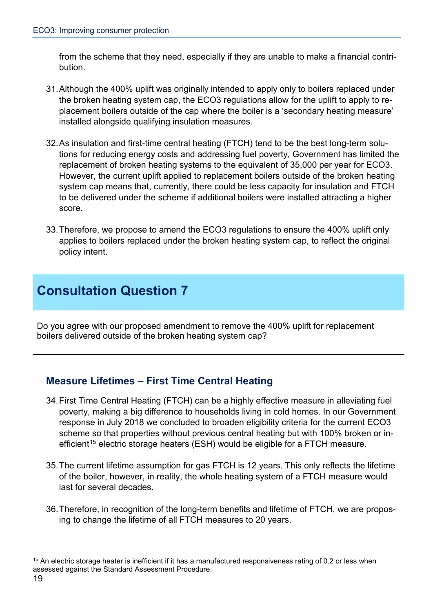from the scheme that they need, especially if they are unable to make a financial contribution.

- 31.Although the 400% uplift was originally intended to apply only to boilers replaced under the broken heating system cap, the ECO3 regulations allow for the uplift to apply to replacement boilers outside of the cap where the boiler is a 'secondary heating measure' installed alongside qualifying insulation measures.
- 32.As insulation and first-time central heating (FTCH) tend to be the best long-term solutions for reducing energy costs and addressing fuel poverty, Government has limited the replacement of broken heating systems to the equivalent of 35,000 per year for ECO3. However, the current uplift applied to replacement boilers outside of the broken heating system cap means that, currently, there could be less capacity for insulation and FTCH to be delivered under the scheme if additional boilers were installed attracting a higher score.
- 33.Therefore, we propose to amend the ECO3 regulations to ensure the 400% uplift only applies to boilers replaced under the broken heating system cap, to reflect the original policy intent.

## **Consultation Question 7**

Do you agree with our proposed amendment to remove the 400% uplift for replacement boilers delivered outside of the broken heating system cap?

### **Measure Lifetimes – First Time Central Heating**

- 34.First Time Central Heating (FTCH) can be a highly effective measure in alleviating fuel poverty, making a big difference to households living in cold homes. In our Government response in July 2018 we concluded to broaden eligibility criteria for the current ECO3 scheme so that properties without previous central heating but with 100% broken or in-efficient<sup>[15](#page-18-0)</sup> electric storage heaters (ESH) would be eligible for a FTCH measure.
- 35.The current lifetime assumption for gas FTCH is 12 years. This only reflects the lifetime of the boiler, however, in reality, the whole heating system of a FTCH measure would last for several decades.
- 36.Therefore, in recognition of the long-term benefits and lifetime of FTCH, we are proposing to change the lifetime of all FTCH measures to 20 years.

<span id="page-18-0"></span><sup>&</sup>lt;sup>15</sup> An electric storage heater is inefficient if it has a manufactured responsiveness rating of 0.2 or less when assessed against the Standard Assessment Procedure.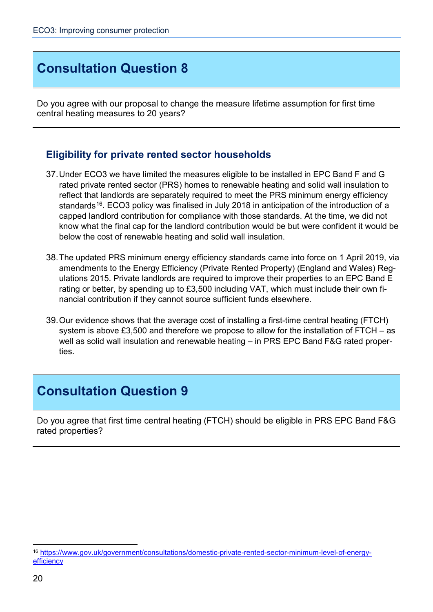## **Consultation Question 8**

Do you agree with our proposal to change the measure lifetime assumption for first time central heating measures to 20 years?

### **Eligibility for private rented sector households**

- 37.Under ECO3 we have limited the measures eligible to be installed in EPC Band F and G rated private rented sector (PRS) homes to renewable heating and solid wall insulation to reflect that landlords are separately required to meet the PRS minimum energy efficiency standards<sup>16</sup>. ECO3 policy was finalised in July 2018 in anticipation of the introduction of a capped landlord contribution for compliance with those standards. At the time, we did not know what the final cap for the landlord contribution would be but were confident it would be below the cost of renewable heating and solid wall insulation.
- 38.The updated PRS minimum energy efficiency standards came into force on 1 April 2019, via amendments to the Energy Efficiency (Private Rented Property) (England and Wales) Regulations 2015. Private landlords are required to improve their properties to an EPC Band E rating or better, by spending up to £3,500 including VAT, which must include their own financial contribution if they cannot source sufficient funds elsewhere.
- 39.Our evidence shows that the average cost of installing a first-time central heating (FTCH) system is above £3,500 and therefore we propose to allow for the installation of FTCH – as well as solid wall insulation and renewable heating – in PRS EPC Band F&G rated properties.

## **Consultation Question 9**

Do you agree that first time central heating (FTCH) should be eligible in PRS EPC Band F&G rated properties?

<span id="page-19-0"></span> <sup>16</sup> [https://www.gov.uk/government/consultations/domestic-private-rented-sector-minimum-level-of-energy](https://www.gov.uk/government/consultations/domestic-private-rented-sector-minimum-level-of-energy-efficiency)[efficiency](https://www.gov.uk/government/consultations/domestic-private-rented-sector-minimum-level-of-energy-efficiency)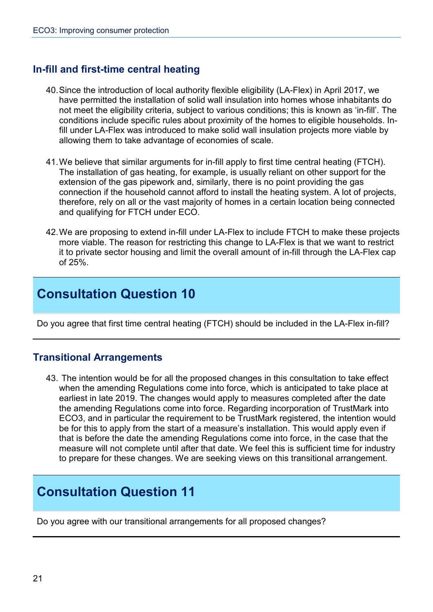### **In-fill and first-time central heating**

- 40.Since the introduction of local authority flexible eligibility (LA-Flex) in April 2017, we have permitted the installation of solid wall insulation into homes whose inhabitants do not meet the eligibility criteria, subject to various conditions; this is known as 'in-fill'. The conditions include specific rules about proximity of the homes to eligible households. Infill under LA-Flex was introduced to make solid wall insulation projects more viable by allowing them to take advantage of economies of scale.
- 41.We believe that similar arguments for in-fill apply to first time central heating (FTCH). The installation of gas heating, for example, is usually reliant on other support for the extension of the gas pipework and, similarly, there is no point providing the gas connection if the household cannot afford to install the heating system. A lot of projects, therefore, rely on all or the vast majority of homes in a certain location being connected and qualifying for FTCH under ECO.
- 42.We are proposing to extend in-fill under LA-Flex to include FTCH to make these projects more viable. The reason for restricting this change to LA-Flex is that we want to restrict it to private sector housing and limit the overall amount of in-fill through the LA-Flex cap of 25%.

## **Consultation Question 10**

Do you agree that first time central heating (FTCH) should be included in the LA-Flex in-fill?

### **Transitional Arrangements**

43. The intention would be for all the proposed changes in this consultation to take effect when the amending Regulations come into force, which is anticipated to take place at earliest in late 2019. The changes would apply to measures completed after the date the amending Regulations come into force. Regarding incorporation of TrustMark into ECO3, and in particular the requirement to be TrustMark registered, the intention would be for this to apply from the start of a measure's installation. This would apply even if that is before the date the amending Regulations come into force, in the case that the measure will not complete until after that date. We feel this is sufficient time for industry to prepare for these changes. We are seeking views on this transitional arrangement.

## **Consultation Question 11**

Do you agree with our transitional arrangements for all proposed changes?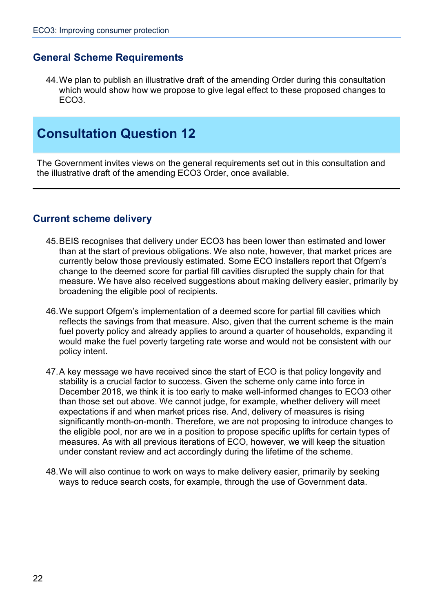### **General Scheme Requirements**

44.We plan to publish an illustrative draft of the amending Order during this consultation which would show how we propose to give legal effect to these proposed changes to ECO3.

## **Consultation Question 12**

The Government invites views on the general requirements set out in this consultation and the illustrative draft of the amending ECO3 Order, once available.

### **Current scheme delivery**

- 45.BEIS recognises that delivery under ECO3 has been lower than estimated and lower than at the start of previous obligations. We also note, however, that market prices are currently below those previously estimated. Some ECO installers report that Ofgem's change to the deemed score for partial fill cavities disrupted the supply chain for that measure. We have also received suggestions about making delivery easier, primarily by broadening the eligible pool of recipients.
- 46.We support Ofgem's implementation of a deemed score for partial fill cavities which reflects the savings from that measure. Also, given that the current scheme is the main fuel poverty policy and already applies to around a quarter of households, expanding it would make the fuel poverty targeting rate worse and would not be consistent with our policy intent.
- 47.A key message we have received since the start of ECO is that policy longevity and stability is a crucial factor to success. Given the scheme only came into force in December 2018, we think it is too early to make well-informed changes to ECO3 other than those set out above. We cannot judge, for example, whether delivery will meet expectations if and when market prices rise. And, delivery of measures is rising significantly month-on-month. Therefore, we are not proposing to introduce changes to the eligible pool, nor are we in a position to propose specific uplifts for certain types of measures. As with all previous iterations of ECO, however, we will keep the situation under constant review and act accordingly during the lifetime of the scheme.
- <span id="page-21-0"></span>48.We will also continue to work on ways to make delivery easier, primarily by seeking ways to reduce search costs, for example, through the use of Government data.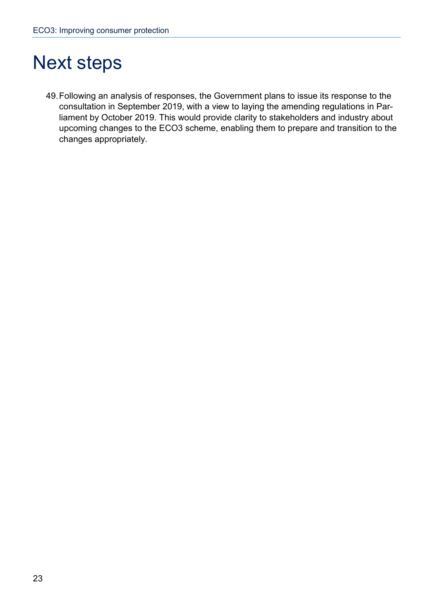# Next steps

49.Following an analysis of responses, the Government plans to issue its response to the consultation in September 2019, with a view to laying the amending regulations in Parliament by October 2019. This would provide clarity to stakeholders and industry about upcoming changes to the ECO3 scheme, enabling them to prepare and transition to the changes appropriately.